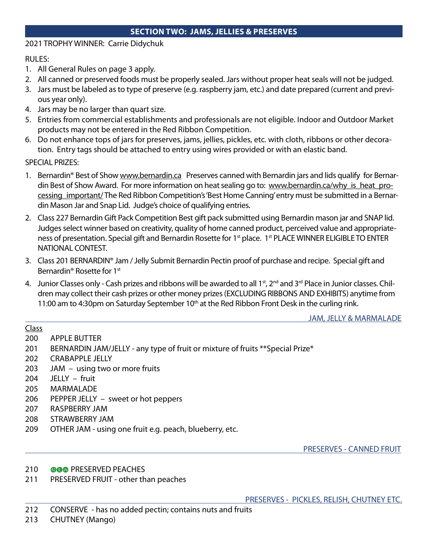## SECTION TWO: JAMS, JELLIES & PRESERVES

## 2021 TROPHY WINNER: Carrie Didychuk

RULES:

- 1. All General Rules on page 3 apply.
- 2. All canned or preserved foods must be properly sealed. Jars without proper heat seals will not be judged.
- 3. Jars must be labeled as to type of preserve (e.g. raspberry jam, etc.) and date prepared (current and previous year only).
- 4. Jars may be no larger than quart size.
- 5. Entries from commercial establishments and professionals are not eligible. Indoor and Outdoor Market products may not be entered in the Red Ribbon Competition.
- 6. Do not enhance tops of jars for preserves, jams, jellies, pickles, etc. with cloth, ribbons or other decoration. Entry tags should be attached to entry using wires provided or with an elastic band.

SPECIAL PRIZES:

- 1. Bernardin® Best of Show www.bernardin.ca Preserves canned with Bernardin jars and lids qualify for Bernardin Best of Show Award. For more information on heat sealing go to: www.bernardin.ca/why is heat processing\_important/ The Red Ribbon Competition's 'Best Home Canning' entry must be submitted in a Bernardin Mason Jar and Snap Lid. Judge's choice of qualifying entries.
- 2. Class 227 Bernardin Gift Pack Competition Best gift pack submitted using Bernardin mason jar and SNAP lid. Judges select winner based on creativity, quality of home canned product, perceived value and appropriateness of presentation. Special gift and Bernardin Rosette for 1<sup>st</sup> place. 1<sup>st</sup> PLACE WINNER ELIGIBLE TO ENTER NATIONAL CONTEST.
- 3. Class 201 BERNARDIN® Jam / Jelly Submit Bernardin Pectin proof of purchase and recipe. Special gift and Bernardin<sup>®</sup> Rosette for 1<sup>st</sup>
- 4. Junior Classes only Cash prizes and ribbons will be awarded to all 1<sup>st</sup>, 2<sup>nd</sup> and 3<sup>rd</sup> Place in Junior classes. Children may collect their cash prizes or other money prizes (EXCLUDING RIBBONS AND EXHIBITS) anytime from 11:00 am to 4:30pm on Saturday September 10<sup>th</sup> at the Red Ribbon Front Desk in the curling rink.

JAM, JELLY & MARMALADE

## Class

- 200 APPLE BUTTER
- 201 BERNARDIN JAM/JELLY any type of fruit or mixture of fruits \*\*Special Prize\*
- 202 CRABAPPLE JELLY
- 203 JAM using two or more fruits
- 204 JELLY fruit
- 205 MARMALADE
- 206 PEPPER JELLY sweet or hot peppers
- 207 RASPBERRY JAM
- 208 STRAWBERRY JAM
- 209 OTHER JAM using one fruit e.g. peach, blueberry, etc.

PRESERVES - CANNED FRUIT

- 210 **@G@** PRESERVED PEACHES
- 211 PRESERVED FRUIT other than peaches

PRESERVES - PICKLES, RELISH, CHUTNEY ETC.

212 CONSERVE - has no added pectin; contains nuts and fruits

213 CHUTNEY (Mango)